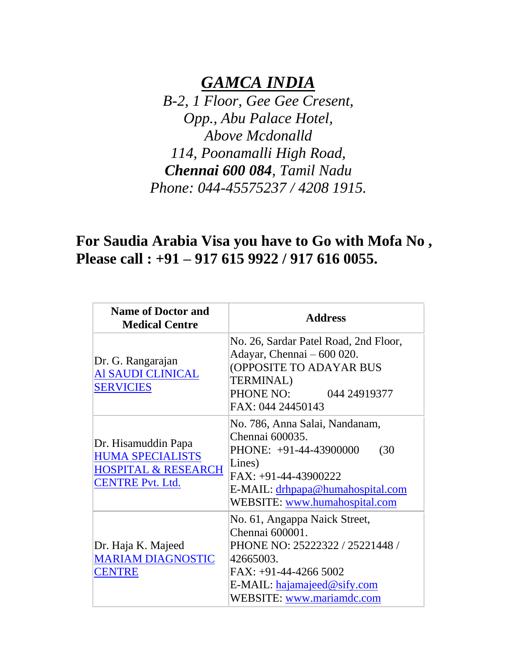## *GAMCA INDIA*

*B-2, 1 Floor, Gee Gee Cresent, Opp., Abu Palace Hotel, Above Mcdonalld 114, Poonamalli High Road, Chennai 600 084, Tamil Nadu Phone: 044-45575237 / 4208 1915.*

## **For Saudia Arabia Visa you have to Go with Mofa No , Please call : +91 – 917 615 9922 / 917 616 0055.**

| <b>Name of Doctor and</b><br><b>Medical Centre</b>                                                          | <b>Address</b>                                                                                                                                                                                      |
|-------------------------------------------------------------------------------------------------------------|-----------------------------------------------------------------------------------------------------------------------------------------------------------------------------------------------------|
| Dr. G. Rangarajan<br>Al SAUDI CLINICAL<br><b>SERVICIES</b>                                                  | No. 26, Sardar Patel Road, 2nd Floor,<br>Adayar, Chennai - 600 020.<br>(OPPOSITE TO ADAYAR BUS<br><b>TERMINAL)</b><br>PHONE NO: 044 24919377<br>FAX: 044 24450143                                   |
| Dr. Hisamuddin Papa<br><b>HUMA SPECIALISTS</b><br><b>HOSPITAL &amp; RESEARCH</b><br><b>CENTRE Pvt. Ltd.</b> | No. 786, Anna Salai, Nandanam,<br>Chennai 600035.<br>(30)<br>PHONE: +91-44-43900000<br>Lines)<br>$FAX: +91-44-43900222$<br>E-MAIL: <u>drhpapa@humahospital.com</u><br>WEBSITE: www.humahospital.com |
| Dr. Haja K. Majeed<br><b>MARIAM DIAGNOSTIC</b><br><b>CENTRE</b>                                             | No. 61, Angappa Naick Street,<br>Chennai 600001.<br>PHONE NO: 25222322 / 25221448 /<br>42665003.<br>FAX: +91-44-4266 5002<br>E-MAIL: hajamajeed@sify.com<br>WEBSITE: www.mariamdc.com               |